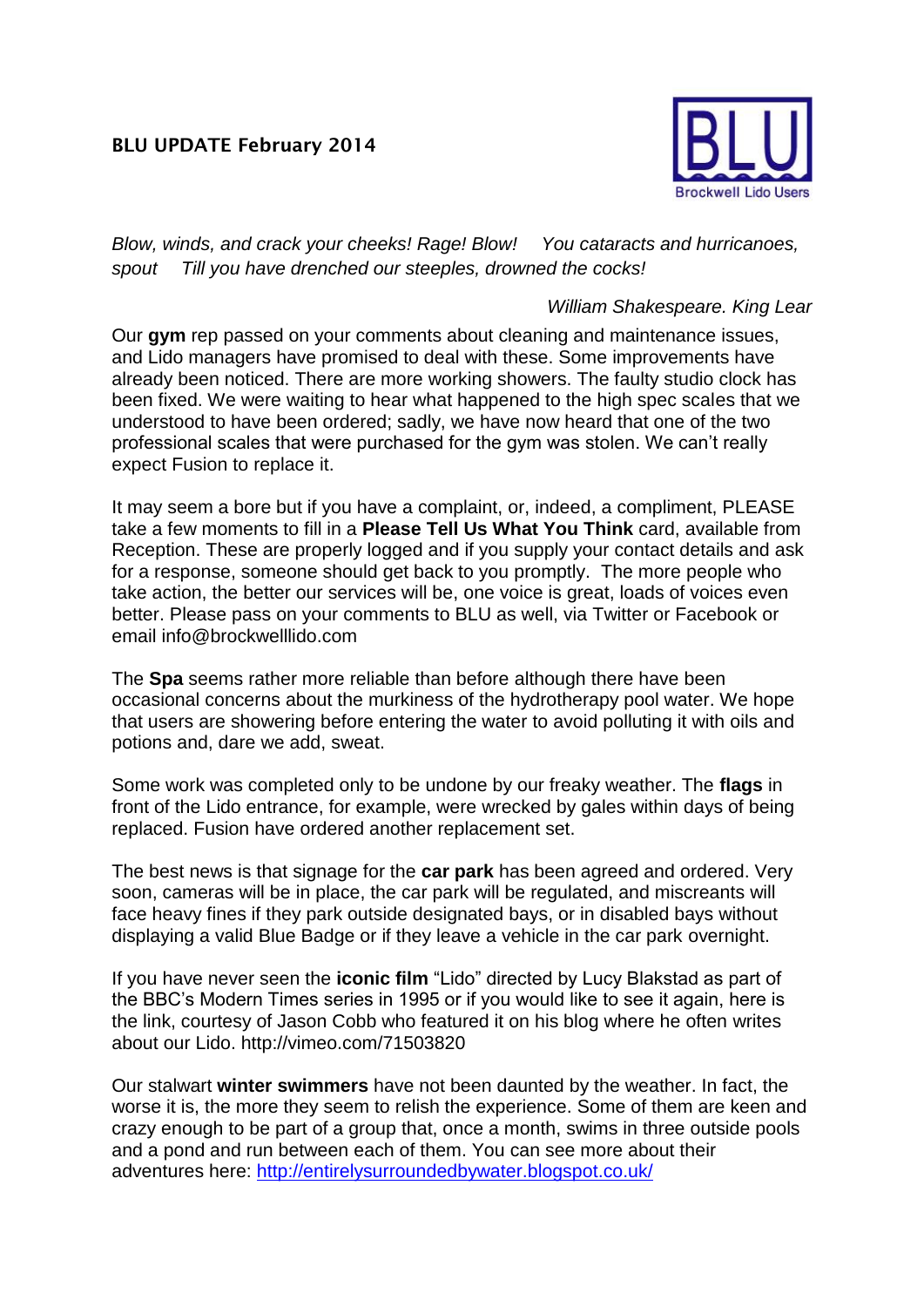## **BLU UPDATE February 2014**



*Blow, winds, and crack your cheeks! Rage! Blow! You cataracts and hurricanoes, spout Till you have drenched our steeples, drowned the cocks!* 

## *William Shakespeare. King Lear*

Our **gym** rep passed on your comments about cleaning and maintenance issues, and Lido managers have promised to deal with these. Some improvements have already been noticed. There are more working showers. The faulty studio clock has been fixed. We were waiting to hear what happened to the high spec scales that we understood to have been ordered; sadly, we have now heard that one of the two professional scales that were purchased for the gym was stolen. We can't really expect Fusion to replace it.

It may seem a bore but if you have a complaint, or, indeed, a compliment, PLEASE take a few moments to fill in a **Please Tell Us What You Think** card, available from Reception. These are properly logged and if you supply your contact details and ask for a response, someone should get back to you promptly. The more people who take action, the better our services will be, one voice is great, loads of voices even better. Please pass on your comments to BLU as well, via Twitter or Facebook or email info@brockwelllido.com

The **Spa** seems rather more reliable than before although there have been occasional concerns about the murkiness of the hydrotherapy pool water. We hope that users are showering before entering the water to avoid polluting it with oils and potions and, dare we add, sweat.

Some work was completed only to be undone by our freaky weather. The **flags** in front of the Lido entrance, for example, were wrecked by gales within days of being replaced. Fusion have ordered another replacement set.

The best news is that signage for the **car park** has been agreed and ordered. Very soon, cameras will be in place, the car park will be regulated, and miscreants will face heavy fines if they park outside designated bays, or in disabled bays without displaying a valid Blue Badge or if they leave a vehicle in the car park overnight.

If you have never seen the **iconic film** "Lido" directed by Lucy Blakstad as part of the BBC's Modern Times series in 1995 or if you would like to see it again, here is the link, courtesy of Jason Cobb who featured it on his blog where he often writes about our Lido. http://vimeo.com/71503820

Our stalwart **winter swimmers** have not been daunted by the weather. In fact, the worse it is, the more they seem to relish the experience. Some of them are keen and crazy enough to be part of a group that, once a month, swims in three outside pools and a pond and run between each of them. You can see more about their adventures here:<http://entirelysurroundedbywater.blogspot.co.uk/>